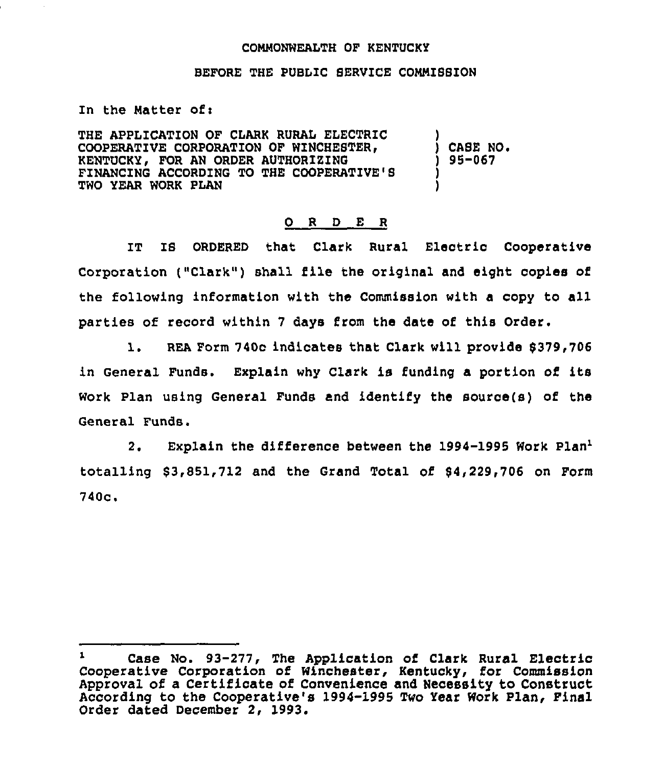## COMMONWEALTH QF KENTUCKY

## BEFORE THE PUBL1C SERVICE CONNISBZON

In the Matter of:

THE APPLICATION OF CLARK RURAL ELECTRIC COOPERATIVE CORPORATION OF WINCHESTER. KENTUCKY, FOR AN ORDER AUTHORIZING FINANCING ACCORDING TO THE COOPERATIVE'S TWO YEAR WORK PLAN

) CASE NO ) 95-067

)

) )

## O R D E R

IT IS ORDERED that Clark Rural Electric Cooperative Corporation ("Clark") shall file the original and eight copies of the following information with the Commission with a copy to all parties of record within 7 days from the date of this Order.

1. REA Form 740c indicates that Clark will provide \$379,706 in General Funds. Explain why Clark is funding a portion of its Work Plan using General Funds and identify the source(s) of the General Funds.

2. Explain the difference between the 1994-1995 Work Plan<sup>1</sup>  $$3,851,712$  and the Grand Total of  $$4,229,706$  on Form 740c.

Case No. 93-277, The Application of Clark Rural Electric Cooperative Corporation of Winchester, Kentucky, for Commissio Approval of a Certificate of Convenience and Necessity to Construct According to the Cooperative's 1994-1995 Two Year Work Plan, Final Order dated December 2, 1993.